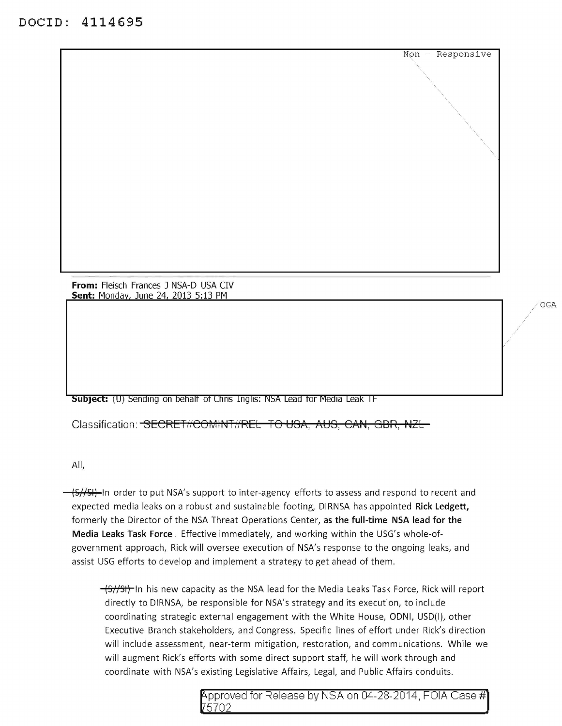**From:** Fleisch Frances J NSA-D USA CIV Sent: Monday, June 24, 2013 5:13 PM

**Subject:** (U) Sending on behalf of Chris Inglis: NSA Lead for Media Leak IF

Classification: <del>SECRET//COMINT//REL TO USA, AUS, CAN, GBR, NZL-</del>

All,

(S//SI) In order to put NSA's support to inter-agency efforts to assess and respond to recent and expected media leaks on a robust and sustainable footing, DIRNSA has appointed Rick Ledgett, formerly the Director of the NSA Threat Operations Center, as the full-time NSA lead for the Media Leaks Task Force. Effective immediately, and working within the USG's whole-ofgovernment approach, Rick will oversee execution of NSA's response to the ongoing leaks, and assist USG efforts to develop and implement a strategy to get ahead of them.

 $\frac{-(5)}{5}$  In his new capacity as the NSA lead for the Media Leaks Task Force, Rick will report directly to DIRNSA, be responsible for NSA's strategy and its execution, to include coordinating strategic external engagement with the White House, ODNI, USD(I), other Executive Branch stakeholders, and Congress. Specific lines of effort under Rick's direction will include assessment, near-term mitigation, restoration, and communications. While we will augment Rick's efforts with some direct support staff, he will work through and coordinate with NSA's existing Legislative Affairs, Legal, and Public Affairs conduits.

> pp roved for Release by NSA on 04-28-2014, FOIA Case# 5702

OGA

Non - Responsive